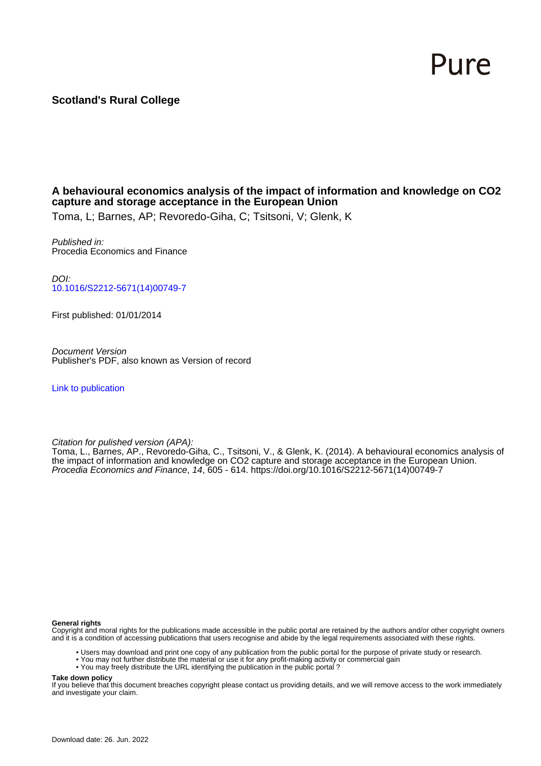# Pure

## **Scotland's Rural College**

## **A behavioural economics analysis of the impact of information and knowledge on CO2 capture and storage acceptance in the European Union**

Toma, L; Barnes, AP; Revoredo-Giha, C; Tsitsoni, V; Glenk, K

Published in: Procedia Economics and Finance

DOI: [10.1016/S2212-5671\(14\)00749-7](https://doi.org/10.1016/S2212-5671(14)00749-7)

First published: 01/01/2014

Document Version Publisher's PDF, also known as Version of record

[Link to publication](https://pure.sruc.ac.uk/en/publications/eb8d38c6-04c0-4c96-95ab-5b7909f692c5)

Citation for pulished version (APA):

Toma, L., Barnes, AP., Revoredo-Giha, C., Tsitsoni, V., & Glenk, K. (2014). A behavioural economics analysis of the impact of information and knowledge on CO2 capture and storage acceptance in the European Union. Procedia Economics and Finance, 14, 605 - 614. [https://doi.org/10.1016/S2212-5671\(14\)00749-7](https://doi.org/10.1016/S2212-5671(14)00749-7)

#### **General rights**

Copyright and moral rights for the publications made accessible in the public portal are retained by the authors and/or other copyright owners and it is a condition of accessing publications that users recognise and abide by the legal requirements associated with these rights.

- Users may download and print one copy of any publication from the public portal for the purpose of private study or research.
- You may not further distribute the material or use it for any profit-making activity or commercial gain
- You may freely distribute the URL identifying the publication in the public portal ?

#### **Take down policy**

If you believe that this document breaches copyright please contact us providing details, and we will remove access to the work immediately and investigate your claim.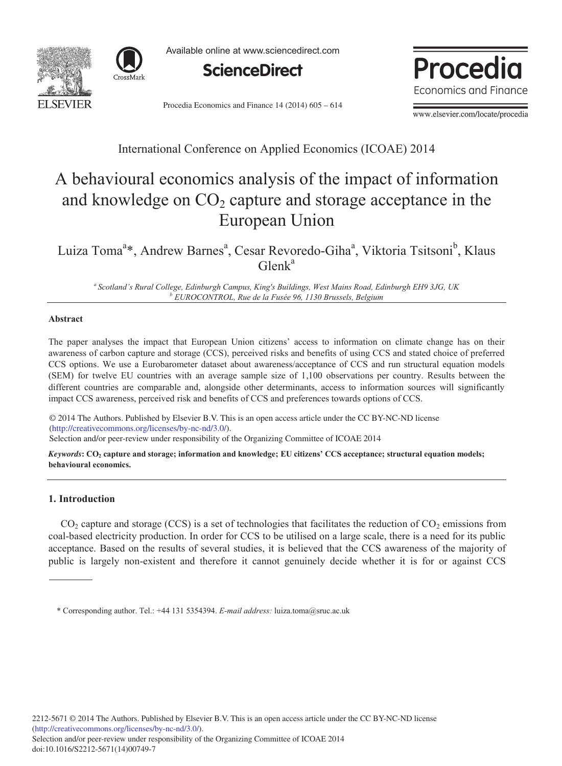



Available online at www.sciencedirect.com



Procedia Economics and Finance  $14$  (2014)  $605 - 614$ 



www.elsevier.com/locate/procedia

# International Conference on Applied Economics (ICOAE) 2014

# A behavioural economics analysis of the impact of information and knowledge on  $CO<sub>2</sub>$  capture and storage acceptance in the European Union

# Luiza Toma<sup>a</sup>\*, Andrew Barnes<sup>a</sup>, Cesar Revoredo-Giha<sup>a</sup>, Viktoria Tsitsoni<sup>b</sup>, Klaus  $Glenk^a$

*<sup>a</sup>Scotland's Rural College, Edinburgh Campus, King's Buildings, West Mains Road, Edinburgh EH9 3JG, UK b EUROCONTROL, Rue de la Fusée 96, 1130 Brussels, Belgium* 

#### **Abstract**

The paper analyses the impact that European Union citizens' access to information on climate change has on their awareness of carbon capture and storage (CCS), perceived risks and benefits of using CCS and stated choice of preferred CCS options. We use a Eurobarometer dataset about awareness/acceptance of CCS and run structural equation models (SEM) for twelve EU countries with an average sample size of 1,100 observations per country. Results between the different countries are comparable and, alongside other determinants, access to information sources will significantly impact CCS awareness, perceived risk and benefits of CCS and preferences towards options of CCS.

© 2014 The Authors. Published by Elsevier B.V. © 2014 The Authors. Published by Elsevier B.V. This is an open access article under the CC BY-NC-ND license Selection and/or peer-review under responsibility of the Organising Committee of ICOAE 2014. Selection and/or peer-review under responsibility of the Organizing Committee of ICOAE 2014(http://creativecommons.org/licenses/by-nc-nd/3.0/).

*Keywords*: CO<sub>2</sub> capture and storage; information and knowledge; EU citizens' CCS acceptance; structural equation models; **behavioural economics.** 

#### **1. Introduction**

 $CO<sub>2</sub>$  capture and storage (CCS) is a set of technologies that facilitates the reduction of  $CO<sub>2</sub>$  emissions from coal-based electricity production. In order for CCS to be utilised on a large scale, there is a need for its public acceptance. Based on the results of several studies, it is believed that the CCS awareness of the majority of public is largely non-existent and therefore it cannot genuinely decide whether it is for or against CCS

<sup>\*</sup> Corresponding author. Tel.: +44 131 5354394. *E-mail address:* luiza.toma@sruc.ac.uk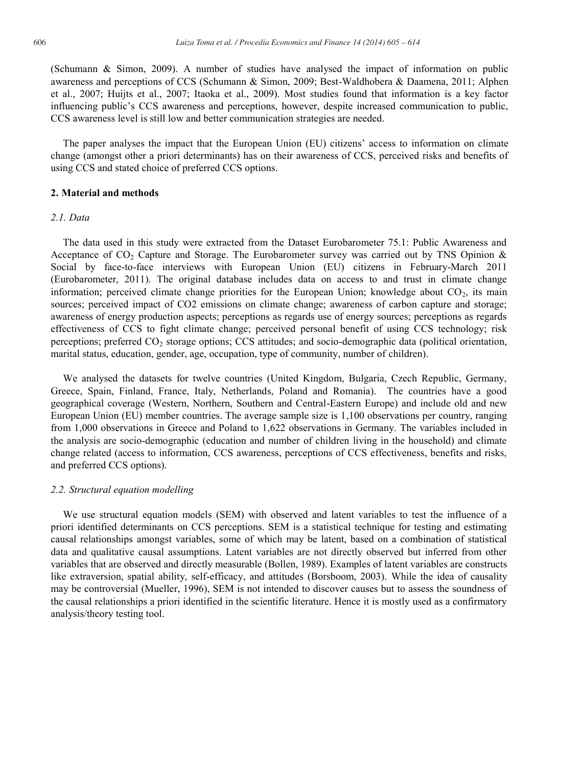(Schumann & Simon, 2009). A number of studies have analysed the impact of information on public awareness and perceptions of CCS (Schumann & Simon, 2009; Best-Waldhobera & Daamena, 2011; Alphen et al., 2007; Huijts et al., 2007; Itaoka et al., 2009). Most studies found that information is a key factor influencing public's CCS awareness and perceptions, however, despite increased communication to public, CCS awareness level is still low and better communication strategies are needed.

The paper analyses the impact that the European Union (EU) citizens' access to information on climate change (amongst other a priori determinants) has on their awareness of CCS, perceived risks and benefits of using CCS and stated choice of preferred CCS options.

#### **2. Material and methods**

#### *2.1. Data*

The data used in this study were extracted from the Dataset Eurobarometer 75.1: Public Awareness and Acceptance of  $CO<sub>2</sub>$  Capture and Storage. The Eurobarometer survey was carried out by TNS Opinion & Social by face-to-face interviews with European Union (EU) citizens in February-March 2011 (Eurobarometer, 2011). The original database includes data on access to and trust in climate change information; perceived climate change priorities for the European Union; knowledge about  $CO<sub>2</sub>$ , its main sources; perceived impact of CO2 emissions on climate change; awareness of carbon capture and storage; awareness of energy production aspects; perceptions as regards use of energy sources; perceptions as regards effectiveness of CCS to fight climate change; perceived personal benefit of using CCS technology; risk perceptions; preferred  $CO<sub>2</sub>$  storage options; CCS attitudes; and socio-demographic data (political orientation, marital status, education, gender, age, occupation, type of community, number of children).

We analysed the datasets for twelve countries (United Kingdom, Bulgaria, Czech Republic, Germany, Greece, Spain, Finland, France, Italy, Netherlands, Poland and Romania). The countries have a good geographical coverage (Western, Northern, Southern and Central-Eastern Europe) and include old and new European Union (EU) member countries. The average sample size is 1,100 observations per country, ranging from 1,000 observations in Greece and Poland to 1,622 observations in Germany. The variables included in the analysis are socio-demographic (education and number of children living in the household) and climate change related (access to information, CCS awareness, perceptions of CCS effectiveness, benefits and risks, and preferred CCS options).

#### *2.2. Structural equation modelling*

We use structural equation models (SEM) with observed and latent variables to test the influence of a priori identified determinants on CCS perceptions. SEM is a statistical technique for testing and estimating causal relationships amongst variables, some of which may be latent, based on a combination of statistical data and qualitative causal assumptions. Latent variables are not directly observed but inferred from other variables that are observed and directly measurable (Bollen, 1989). Examples of latent variables are constructs like extraversion, spatial ability, self-efficacy, and attitudes (Borsboom, 2003). While the idea of causality may be controversial (Mueller, 1996), SEM is not intended to discover causes but to assess the soundness of the causal relationships a priori identified in the scientific literature. Hence it is mostly used as a confirmatory analysis/theory testing tool.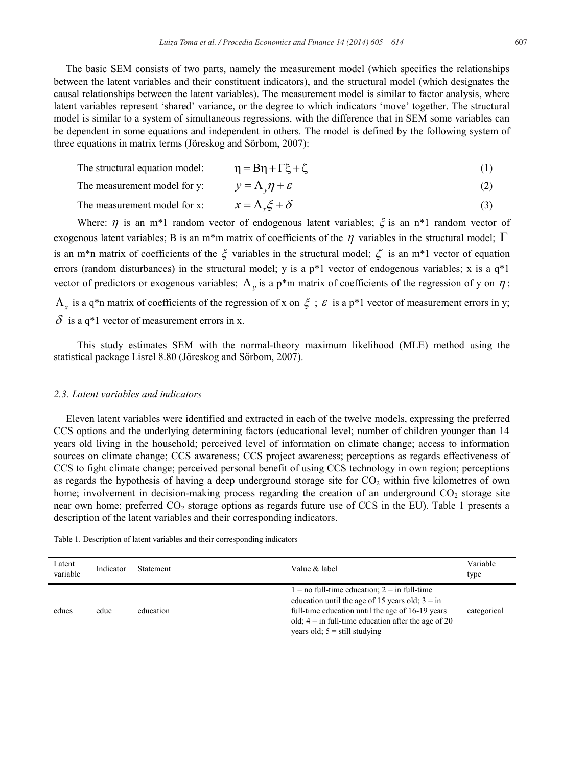The basic SEM consists of two parts, namely the measurement model (which specifies the relationships between the latent variables and their constituent indicators), and the structural model (which designates the causal relationships between the latent variables). The measurement model is similar to factor analysis, where latent variables represent 'shared' variance, or the degree to which indicators 'move' together. The structural model is similar to a system of simultaneous regressions, with the difference that in SEM some variables can be dependent in some equations and independent in others. The model is defined by the following system of three equations in matrix terms (Jöreskog and Sörbom, 2007):

| The structural equation model: | $\eta = B\eta + \Gamma \xi + \zeta$ |     |
|--------------------------------|-------------------------------------|-----|
| The measurement model for y:   | $y = \Lambda_v \eta + \varepsilon$  | (2) |
| The measurement model for x:   | $x = \Lambda_x \xi + \delta$        |     |

Where:  $\eta$  is an m<sup>\*</sup>1 random vector of endogenous latent variables;  $\xi$  is an n<sup>\*1</sup> random vector of exogenous latent variables; B is an m<sup>\*</sup>m matrix of coefficients of the  $\eta$  variables in the structural model;  $\Gamma$ is an m<sup>\*</sup>n matrix of coefficients of the  $\zeta$  variables in the structural model;  $\zeta$  is an m<sup>\*1</sup> vector of equation errors (random disturbances) in the structural model; y is a p\*1 vector of endogenous variables; x is a q\*1 vector of predictors or exogenous variables;  $\Lambda_{y}$  is a p<sup>\*</sup>m matrix of coefficients of the regression of y on  $\eta$ ;  $\Lambda_x$  is a q\*n matrix of coefficients of the regression of x on  $\xi$ ;  $\varepsilon$  is a p\*1 vector of measurement errors in y;  $\delta$  is a q<sup>\*</sup>1 vector of measurement errors in x.

This study estimates SEM with the normal-theory maximum likelihood (MLE) method using the statistical package Lisrel 8.80 (Jöreskog and Sörbom, 2007).

#### *2.3. Latent variables and indicators*

Eleven latent variables were identified and extracted in each of the twelve models, expressing the preferred CCS options and the underlying determining factors (educational level; number of children younger than 14 years old living in the household; perceived level of information on climate change; access to information sources on climate change; CCS awareness; CCS project awareness; perceptions as regards effectiveness of CCS to fight climate change; perceived personal benefit of using CCS technology in own region; perceptions as regards the hypothesis of having a deep underground storage site for  $CO<sub>2</sub>$  within five kilometres of own home; involvement in decision-making process regarding the creation of an underground  $CO<sub>2</sub>$  storage site near own home; preferred  $CO_2$  storage options as regards future use of CCS in the EU). Table 1 presents a description of the latent variables and their corresponding indicators.

Table 1. Description of latent variables and their corresponding indicators

| Latent<br>variable | Indicator | <b>Statement</b> | Value & label                                                                                                                                                                                                                                         | Variable<br>type |
|--------------------|-----------|------------------|-------------------------------------------------------------------------------------------------------------------------------------------------------------------------------------------------------------------------------------------------------|------------------|
| educs              | educ      | education        | $1 =$ no full-time education; $2 =$ in full-time<br>education until the age of 15 years old; $3 = in$<br>full-time education until the age of 16-19 years<br>old; $4 =$ in full-time education after the age of 20<br>years old; $5 =$ still studying | categorical      |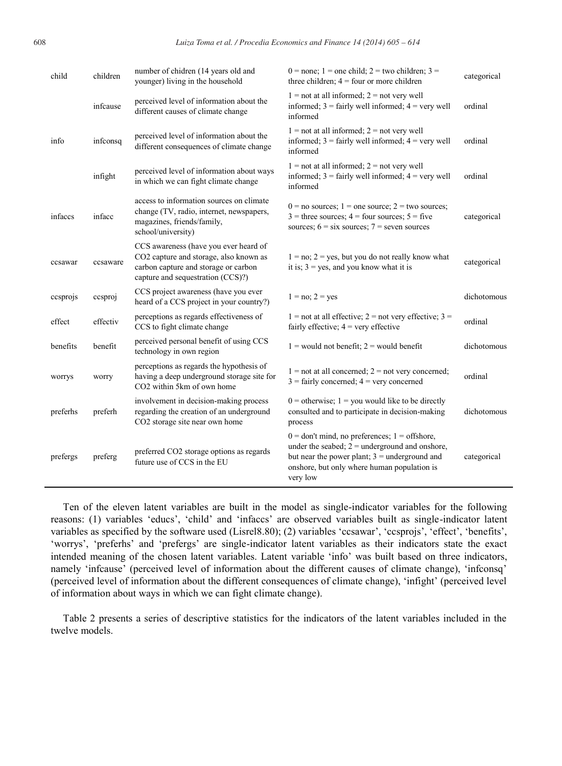| child    | children | number of chidren (14 years old and<br>younger) living in the household                                                                                      | $0 = none$ ; 1 = one child; 2 = two children; 3 =<br>three children; $4 =$ four or more children                                                                                                                    | categorical |
|----------|----------|--------------------------------------------------------------------------------------------------------------------------------------------------------------|---------------------------------------------------------------------------------------------------------------------------------------------------------------------------------------------------------------------|-------------|
|          | infcause | perceived level of information about the<br>different causes of climate change                                                                               | $1 =$ not at all informed; $2 =$ not very well<br>informed; $3 =$ fairly well informed; $4 =$ very well<br>informed                                                                                                 | ordinal     |
| info     | infconsq | perceived level of information about the<br>different consequences of climate change                                                                         | $1 = not$ at all informed; $2 = not$ very well<br>informed; $3 =$ fairly well informed; $4 =$ very well<br>informed                                                                                                 | ordinal     |
|          | infight  | perceived level of information about ways<br>in which we can fight climate change                                                                            | $1 = not$ at all informed; $2 = not$ very well<br>informed; $3 =$ fairly well informed; $4 =$ very well<br>informed                                                                                                 | ordinal     |
| infaccs  | infacc   | access to information sources on climate<br>change (TV, radio, internet, newspapers,<br>magazines, friends/family,<br>school/university)                     | $0 =$ no sources; $1 =$ one source; $2 =$ two sources;<br>$3$ = three sources; $4$ = four sources; $5$ = five<br>sources; $6 = six sources$ ; $7 = seven sources$                                                   | categorical |
| ccsawar  | ccsaware | CCS awareness (have you ever heard of<br>CO2 capture and storage, also known as<br>carbon capture and storage or carbon<br>capture and sequestration (CCS)?) | $1 = no$ ; $2 = yes$ , but you do not really know what<br>it is; $3 = yes$ , and you know what it is                                                                                                                | categorical |
| ccsprojs | ccsproj  | CCS project awareness (have you ever<br>heard of a CCS project in your country?)                                                                             | $1 = no$ ; $2 = yes$                                                                                                                                                                                                | dichotomous |
| effect   | effectiv | perceptions as regards effectiveness of<br>CCS to fight climate change                                                                                       | $1 =$ not at all effective; $2 =$ not very effective; $3 =$<br>fairly effective; $4 =$ very effective                                                                                                               | ordinal     |
| benefits | benefit  | perceived personal benefit of using CCS<br>technology in own region                                                                                          | $1 =$ would not benefit; $2 =$ would benefit                                                                                                                                                                        | dichotomous |
| worrys   | worry    | perceptions as regards the hypothesis of<br>having a deep underground storage site for<br>CO2 within 5km of own home                                         | $1 =$ not at all concerned; $2 =$ not very concerned;<br>$3 =$ fairly concerned; $4 =$ very concerned                                                                                                               | ordinal     |
| preferhs | preferh  | involvement in decision-making process<br>regarding the creation of an underground<br>CO2 storage site near own home                                         | $0 =$ otherwise; $1 =$ you would like to be directly<br>consulted and to participate in decision-making<br>process                                                                                                  | dichotomous |
| prefergs | preferg  | preferred CO2 storage options as regards<br>future use of CCS in the EU                                                                                      | $0 =$ don't mind, no preferences; $1 =$ offshore,<br>under the seabed; $2 =$ underground and onshore,<br>but near the power plant; $3 =$ underground and<br>onshore, but only where human population is<br>very low | categorical |

Ten of the eleven latent variables are built in the model as single-indicator variables for the following reasons: (1) variables 'educs', 'child' and 'infaccs' are observed variables built as single-indicator latent variables as specified by the software used (Lisrel8.80); (2) variables 'ccsawar', 'ccsprojs', 'effect', 'benefits', 'worrys', 'preferhs' and 'prefergs' are single-indicator latent variables as their indicators state the exact intended meaning of the chosen latent variables. Latent variable 'info' was built based on three indicators, namely 'infcause' (perceived level of information about the different causes of climate change), 'infconsq' (perceived level of information about the different consequences of climate change), 'infight' (perceived level of information about ways in which we can fight climate change).

Table 2 presents a series of descriptive statistics for the indicators of the latent variables included in the twelve models.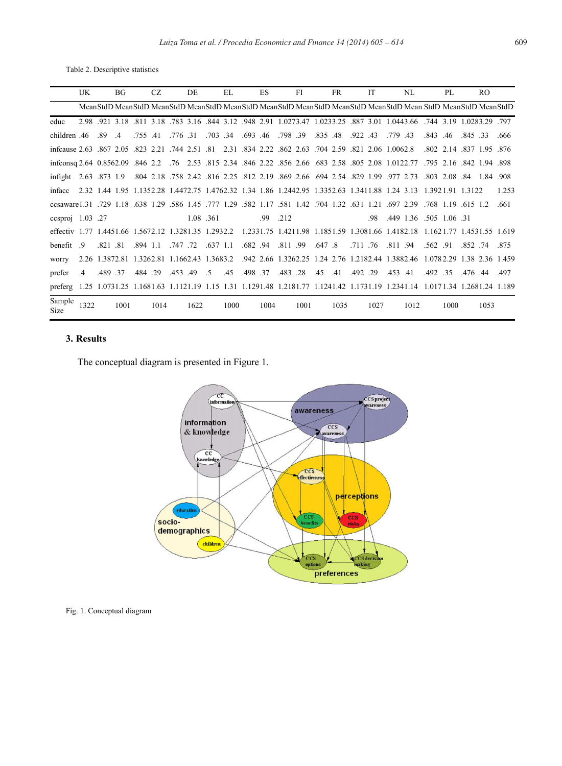Table 2. Descriptive statistics

|                                                                                                                                                                                                                          | UK            |               | BG   |          | CZ                                          |          | DE        |          | EL   | ES   |                                                                                                                         | FI   |         | FR   |         | IT   |         | NL.  |                         | PL                   |        | RO.        |       |
|--------------------------------------------------------------------------------------------------------------------------------------------------------------------------------------------------------------------------|---------------|---------------|------|----------|---------------------------------------------|----------|-----------|----------|------|------|-------------------------------------------------------------------------------------------------------------------------|------|---------|------|---------|------|---------|------|-------------------------|----------------------|--------|------------|-------|
|                                                                                                                                                                                                                          |               |               |      |          |                                             |          |           |          |      |      | MeanStdD MeanStdD MeanStdD MeanStdD MeanStdD MeanStdD MeanStdD MeanStdD MeanStdD Mean StdD MeanStdD MeanStdD            |      |         |      |         |      |         |      |                         |                      |        |            |       |
| educ                                                                                                                                                                                                                     |               |               |      |          |                                             |          |           |          |      |      | 2.98 .921 3.18 .811 3.18 .783 3.16 .844 3.12 .948 2.91 1.0273.47 1.0233.25 .887 3.01 1.0443.66 .744 3.19 1.0283.29 .797 |      |         |      |         |      |         |      |                         |                      |        |            |       |
| children 46                                                                                                                                                                                                              |               | $.89 \quad 4$ |      | 755 41   |                                             | .776 .31 |           |          |      |      | .703 .34 .693 .46 .798 .39                                                                                              |      | .835.48 |      | .922.43 |      | 779 43  |      | .843.46                 |                      | 845 33 |            | - 666 |
| infcause 2.63 .867 2.05 .823 2.21 .744 2.51 .81 2.31 .834 2.22 .862 2.63 .704 2.59 .821 2.06 1.0062.8                                                                                                                    |               |               |      |          |                                             |          |           |          |      |      |                                                                                                                         |      |         |      |         |      |         |      |                         | 802 214 837 1.95 876 |        |            |       |
| 988. 1.94. 2.16. 2.16. 7.122.77 7.95. 2.16. 2.34. 2.646. 2.22. 856. 2.22. 856. 2.66. 2.2. 2.46. 2.94. 2.34. 2.53. 2.54. 2.53. 2.64. 2.22. 856. 2.66. 2.53. 2.58. 2.66. 2.87. 2.08. 1.0122.77 7.95. 2.16. 842. 1.94. 898. |               |               |      |          |                                             |          |           |          |      |      |                                                                                                                         |      |         |      |         |      |         |      |                         |                      |        |            |       |
| infight                                                                                                                                                                                                                  | 2.63 .873 1.9 |               |      |          |                                             |          |           |          |      |      | .804 2.18 .758 2.42 .816 2.25 .812 2.19 .869 2.66 .694 2.54 .829 1.99 .777 2.73                                         |      |         |      |         |      |         |      | .803 2.08 84 1.84 908   |                      |        |            |       |
| infacc                                                                                                                                                                                                                   |               |               |      |          |                                             |          |           |          |      |      | 2.32 1.44 1.95 1.1352.28 1.4472.75 1.4762.32 1.34 1.86 1.2442.95 1.3352.63 1.3411.88 1.24 3.13 1.3921.91 1.3122         |      |         |      |         |      |         |      |                         |                      |        |            | 1.253 |
| ccsaware1.31 .729 1.18 .638 1.29 .581 1.21 .638 1.14 .582 1.17 .582 1.17 .582 1.17 .581 1.29 1.58 613 .779 1.39                                                                                                          |               |               |      |          |                                             |          |           |          |      |      |                                                                                                                         |      |         |      |         |      |         |      |                         |                      |        |            | -661  |
| ccsproj $1.03$ .27                                                                                                                                                                                                       |               |               |      |          |                                             |          | 1.08 .361 |          |      |      | $.99$ $.212$                                                                                                            |      |         |      |         | 98   |         |      | .449 1.36 .505 1.06 .31 |                      |        |            |       |
| effectiv 1.77 1.4451.66 1.5672.12 1.3281.35 1.2932.2 1.2331.75 1.4211.98 1.1851.59 1.3081.66 1.4182.18 1.1621.77 1.4531.55 1.619                                                                                         |               |               |      |          |                                             |          |           |          |      |      |                                                                                                                         |      |         |      |         |      |         |      |                         |                      |        |            |       |
| benefit                                                                                                                                                                                                                  | - 9           | $.821$ $.81$  |      | .894 1.1 |                                             | .747.72  |           | .637 1.1 |      |      | .682 .94 .811 .99                                                                                                       |      | .647.8  |      | .711.76 |      | .811.94 |      | .562.91                 |                      |        | 852 74 875 |       |
| worry                                                                                                                                                                                                                    |               |               |      |          | 2.26 1.3872.81 1.3262.81 1.1662.43 1.3683.2 |          |           |          |      |      | .942 2.66 1.3262.25 1.24 2.76 1.2182.44 1.3882.46 1.078 2.29 1.38 2.36 1.459                                            |      |         |      |         |      |         |      |                         |                      |        |            |       |
| prefer                                                                                                                                                                                                                   | .4            |               |      |          |                                             |          |           |          |      |      | 489 .37 .484 .29 .453 .49 .45 .498 .37 .483 .28 .45 .49 .498 .37 .489 .37 .498 .499                                     |      |         |      |         |      |         |      |                         | 492 35 476 44 497    |        |            |       |
| preferg 1.25 1.0731.25 1.1681.63 1.1121.19 1.15 1.31 1.1291.48 1.2181.77 1.1241.42 1.1731.19 1.2341.14 1.0171.34 1.2681.24 1.189                                                                                         |               |               |      |          |                                             |          |           |          |      |      |                                                                                                                         |      |         |      |         |      |         |      |                         |                      |        |            |       |
| Sample<br>Size                                                                                                                                                                                                           | 1322          |               | 1001 |          | 1014                                        |          | 1622      |          | 1000 | 1004 |                                                                                                                         | 1001 |         | 1035 |         | 1027 |         | 1012 |                         | 1000                 |        | 1053       |       |

#### **3. Results**

The conceptual diagram is presented in Figure 1.



Fig. 1. Conceptual diagram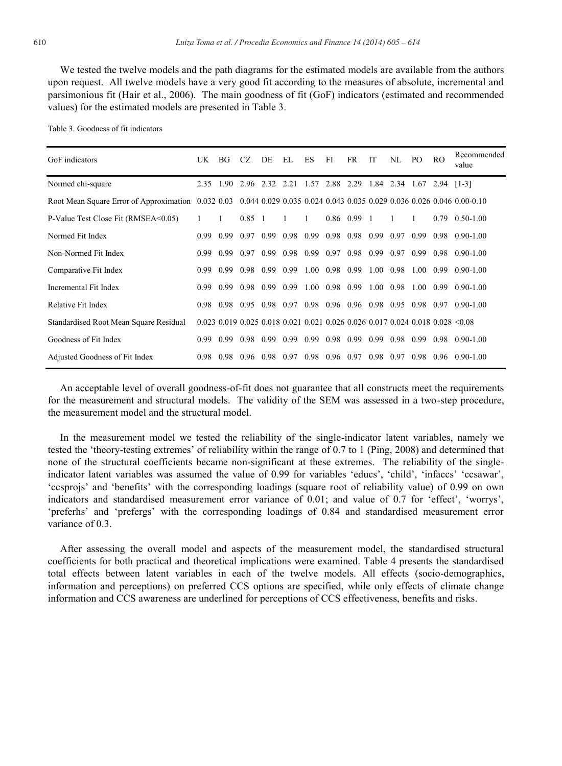We tested the twelve models and the path diagrams for the estimated models are available from the authors upon request. All twelve models have a very good fit according to the measures of absolute, incremental and parsimonious fit (Hair et al., 2006). The main goodness of fit (GoF) indicators (estimated and recommended values) for the estimated models are presented in Table 3.

| GoF indicators                                                                                                           | UK        | -BG  | CZ.            | DE   | EL.            | ES             | FI. | <b>FR</b>       | IT | NL                                                      | PO.            | RO.  | Recommended<br>value                                                                                   |
|--------------------------------------------------------------------------------------------------------------------------|-----------|------|----------------|------|----------------|----------------|-----|-----------------|----|---------------------------------------------------------|----------------|------|--------------------------------------------------------------------------------------------------------|
| Normed chi-square                                                                                                        | 2.35 1.90 |      |                |      |                |                |     |                 |    | 2.96 2.32 2.21 1.57 2.88 2.29 1.84 2.34 1.67 2.94 [1-3] |                |      |                                                                                                        |
| Root Mean Square Error of Approximation 0.032 0.03 0.044 0.029 0.035 0.024 0.043 0.035 0.029 0.036 0.026 0.046 0.00-0.10 |           |      |                |      |                |                |     |                 |    |                                                         |                |      |                                                                                                        |
| P-Value Test Close Fit (RMSEA<0.05)                                                                                      |           | -1   | $0.85 \quad 1$ |      | $\overline{1}$ | $\mathbf{1}$   |     | $0.86$ $0.99$ 1 |    | -1                                                      | $\overline{1}$ | 0.79 | $0.50 - 1.00$                                                                                          |
| Normed Fit Index                                                                                                         | 0.99      | 0.99 | 0.97           | 0.99 |                |                |     |                 |    | 0.98 0.99 0.98 0.98 0.99 0.97 0.99                      |                |      | $0.98$ $0.90 - 1.00$                                                                                   |
| Non-Normed Fit Index                                                                                                     | 0.99      | 0.99 | 0.97           | 0.99 |                |                |     |                 |    | 0.98 0.99 0.97 0.98 0.99 0.97 0.99                      |                |      | 0.98 0.90-1.00                                                                                         |
| Comparative Fit Index                                                                                                    | 0.99      | 0.99 | 0.98 0.99      |      | 0.99           | 1.00 0.98 0.99 |     |                 |    | 1.00 0.98 1.00 0.99                                     |                |      | $0.90 - 1.00$                                                                                          |
| Incremental Fit Index                                                                                                    | 0.99      | 0.99 | 0.98           | 0.99 | 0.99           | 1.00 0.98 0.99 |     |                 |    | 1.00 0.98 1.00 0.99                                     |                |      | $0.90 - 1.00$                                                                                          |
| Relative Fit Index                                                                                                       |           |      |                |      |                |                |     |                 |    |                                                         |                |      | 0.98 0.98 0.95 0.98 0.97 0.98 0.96 0.96 0.98 0.95 0.98 0.97 0.90-1.00                                  |
| Standardised Root Mean Square Residual                                                                                   |           |      |                |      |                |                |     |                 |    |                                                         |                |      | $0.023$ $0.019$ $0.025$ $0.018$ $0.021$ $0.021$ $0.026$ $0.026$ $0.017$ $0.024$ $0.018$ $0.028$ < 0.08 |
| Goodness of Fit Index                                                                                                    | 0.99 0.99 |      | 0.98           | 0.99 |                |                |     |                 |    |                                                         |                |      | 0.99 0.99 0.98 0.99 0.99 0.98 0.99 0.98 0.90-1.00                                                      |
| Adjusted Goodness of Fit Index                                                                                           |           |      |                |      |                |                |     |                 |    |                                                         |                |      | 0.98 0.98 0.96 0.98 0.97 0.98 0.96 0.97 0.98 0.97 0.98 0.96 0.90-1.00                                  |

Table 3. Goodness of fit indicators

An acceptable level of overall goodness-of-fit does not guarantee that all constructs meet the requirements for the measurement and structural models. The validity of the SEM was assessed in a two-step procedure, the measurement model and the structural model.

In the measurement model we tested the reliability of the single-indicator latent variables, namely we tested the 'theory-testing extremes' of reliability within the range of 0.7 to 1 (Ping, 2008) and determined that none of the structural coefficients became non-significant at these extremes. The reliability of the singleindicator latent variables was assumed the value of 0.99 for variables 'educs', 'child', 'infaccs' 'ccsawar', 'ccsprojs' and 'benefits' with the corresponding loadings (square root of reliability value) of 0.99 on own indicators and standardised measurement error variance of 0.01; and value of 0.7 for 'effect', 'worrys', 'preferhs' and 'prefergs' with the corresponding loadings of 0.84 and standardised measurement error variance of 0.3.

After assessing the overall model and aspects of the measurement model, the standardised structural coefficients for both practical and theoretical implications were examined. Table 4 presents the standardised total effects between latent variables in each of the twelve models. All effects (socio-demographics, information and perceptions) on preferred CCS options are specified, while only effects of climate change information and CCS awareness are underlined for perceptions of CCS effectiveness, benefits and risks.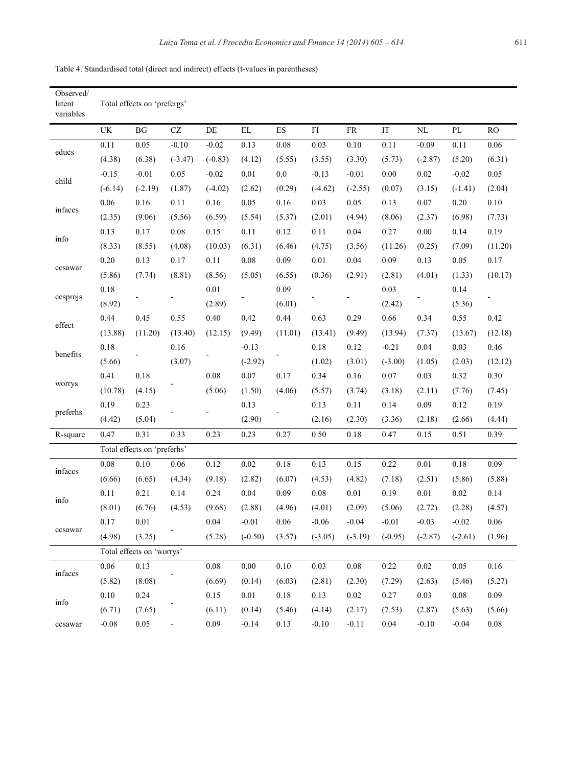Table 4. Standardised total (direct and indirect) effects (t-values in parentheses)

| Observed/<br>latent<br>variables |                                 | Total effects on 'prefergs' |                     |           |               |                          |            |           |           |           |           |         |
|----------------------------------|---------------------------------|-----------------------------|---------------------|-----------|---------------|--------------------------|------------|-----------|-----------|-----------|-----------|---------|
|                                  | $\ensuremath{\text{UK}}\xspace$ | BG                          | $\operatorname{CZ}$ | $\rm DE$  | $\mathbf{EL}$ | $\mathop{\hbox{\rm ES}}$ | ${\rm FI}$ | <b>FR</b> | IT        | NL        | PL        | RO      |
|                                  | 0.11                            | 0.05                        | $-0.10$             | $-0.02$   | 0.13          | 0.08                     | 0.03       | 0.10      | 0.11      | $-0.09$   | 0.11      | 0.06    |
| educs                            | (4.38)                          | (6.38)                      | $(-3.47)$           | $(-0.83)$ | (4.12)        | (5.55)                   | (3.55)     | (3.30)    | (5.73)    | $(-2.87)$ | (5.20)    | (6.31)  |
| child                            | $-0.15$                         | $-0.01$                     | 0.05                | $-0.02$   | 0.01          | 0.0                      | $-0.13$    | $-0.01$   | 0.00      | 0.02      | $-0.02$   | 0.05    |
|                                  | $(-6.14)$                       | $(-2.19)$                   | (1.87)              | $(-4.02)$ | (2.62)        | (0.29)                   | $(-4.62)$  | $(-2.55)$ | (0.07)    | (3.15)    | $(-1.41)$ | (2.04)  |
| infaccs                          | 0.06                            | 0.16                        | 0.11                | 0.16      | 0.05          | 0.16                     | 0.03       | 0.05      | 0.13      | 0.07      | 0.20      | 0.10    |
|                                  | (2.35)                          | (9.06)                      | (5.56)              | (6.59)    | (5.54)        | (5.37)                   | (2.01)     | (4.94)    | (8.06)    | (2.37)    | (6.98)    | (7.73)  |
|                                  | 0.13                            | 0.17                        | 0.08                | 0.15      | 0.11          | 0.12                     | 0.11       | 0.04      | 0.27      | 0.00      | 0.14      | 0.19    |
| info                             | (8.33)                          | (8.55)                      | (4.08)              | (10.03)   | (6.31)        | (6.46)                   | (4.75)     | (3.56)    | (11.26)   | (0.25)    | (7.09)    | (11.20) |
|                                  | 0.20                            | 0.13                        | 0.17                | 0.11      | 0.08          | 0.09                     | 0.01       | 0.04      | 0.09      | 0.13      | 0.05      | 0.17    |
| ccsawar                          | (5.86)                          | (7.74)                      | (8.81)              | (8.56)    | (5.05)        | (6.55)                   | (0.36)     | (2.91)    | (2.81)    | (4.01)    | (1.33)    | (10.17) |
|                                  | 0.18                            |                             |                     | $0.01\,$  |               | 0.09                     |            |           | 0.03      |           | 0.14      |         |
| ccsprojs                         | (8.92)                          |                             |                     | (2.89)    |               | (6.01)                   |            |           | (2.42)    |           | (5.36)    |         |
| effect                           | 0.44                            | 0.45                        | 0.55                | 0.40      | 0.42          | 0.44                     | 0.63       | 0.29      | 0.66      | 0.34      | 0.55      | 0.42    |
|                                  | (13.88)                         | (11.20)                     | (13.40)             | (12.15)   | (9.49)        | (11.01)                  | (13.41)    | (9.49)    | (13.94)   | (7.37)    | (13.67)   | (12.18) |
| benefits                         | 0.18                            |                             | 0.16                |           | $-0.13$       |                          | 0.18       | 0.12      | $-0.21$   | 0.04      | 0.03      | 0.46    |
|                                  | (5.66)                          |                             | (3.07)              |           | $(-2.92)$     |                          | (1.02)     | (3.01)    | $(-3.00)$ | (1.05)    | (2.03)    | (12.12) |
| worrys                           | 0.41                            | 0.18                        |                     | 0.08      | 0.07          | 0.17                     | 0.34       | 0.16      | 0.07      | 0.03      | 0.32      | 0.30    |
|                                  | (10.78)                         | (4.15)                      |                     | (5.06)    | (1.50)        | (4.06)                   | (5.57)     | (3.74)    | (3.18)    | (2.11)    | (7.76)    | (7.45)  |
| preferhs                         | 0.19                            | 0.23                        |                     |           | 0.13          |                          | 0.13       | 0.11      | 0.14      | 0.09      | 0.12      | 0.19    |
|                                  | (4.42)                          | (5.04)                      |                     |           | (2.90)        |                          | (2.16)     | (2.30)    | (3.36)    | (2.18)    | (2.66)    | (4.44)  |
| R-square                         | 0.47                            | 0.31                        | 0.33                | 0.23      | 0.23          | 0.27                     | 0.50       | 0.18      | 0.47      | 0.15      | 0.51      | 0.39    |
|                                  |                                 | Total effects on 'preferhs' |                     |           |               |                          |            |           |           |           |           |         |
| infaccs                          | $0.08\,$                        | 0.10                        | 0.06                | 0.12      | 0.02          | 0.18                     | 0.13       | 0.15      | 0.22      | 0.01      | 0.18      | 0.09    |
|                                  | (6.66)                          | (6.65)                      | (4.34)              | (9.18)    | (2.82)        | (6.07)                   | (4.53)     | (4.82)    | (7.18)    | (2.51)    | (5.86)    | (5.88)  |
| info                             | 0.11                            | 0.21                        | 0.14                | 0.24      | 0.04          | 0.09                     | 0.08       | 0.01      | 0.19      | 0.01      | 0.02      | 0.14    |
|                                  | (8.01)                          | (6.76)                      | (4.53)              | (9.68)    | (2.88)        | (4.96)                   | (4.01)     | (2.09)    | (5.06)    | (2.72)    | (2.28)    | (4.57)  |
| ccsawar                          | 0.17                            | 0.01                        |                     | 0.04      | $-0.01$       | 0.06                     | $-0.06$    | $-0.04$   | $-0.01$   | $-0.03$   | $-0.02$   | 0.06    |
|                                  | (4.98)                          | (3.25)                      |                     | (5.28)    | $(-0.50)$     | (3.57)                   | $(-3.05)$  | $(-3.19)$ | $(-0.95)$ | $(-2.87)$ | $(-2.61)$ | (1.96)  |
|                                  |                                 | Total effects on 'worrys'   |                     |           |               |                          |            |           |           |           |           |         |
| infaccs                          | 0.06                            | 0.13                        |                     | 0.08      | 0.00          | 0.10                     | 0.03       | 0.08      | 0.22      | 0.02      | 0.05      | 0.16    |
|                                  | (5.82)                          | (8.08)                      |                     | (6.69)    | (0.14)        | (6.03)                   | (2.81)     | (2.30)    | (7.29)    | (2.63)    | (5.46)    | (5.27)  |
| info                             | 0.10                            | 0.24                        |                     | 0.15      | 0.01          | 0.18                     | 0.13       | 0.02      | 0.27      | 0.03      | 0.08      | 0.09    |
|                                  | (6.71)                          | (7.65)                      |                     | (6.11)    | (0.14)        | (5.46)                   | (4.14)     | (2.17)    | (7.53)    | (2.87)    | (5.63)    | (5.66)  |
| ccsawar                          | $-0.08$                         | 0.05                        |                     | 0.09      | $-0.14$       | 0.13                     | $-0.10$    | $-0.11$   | 0.04      | $-0.10$   | $-0.04$   | 0.08    |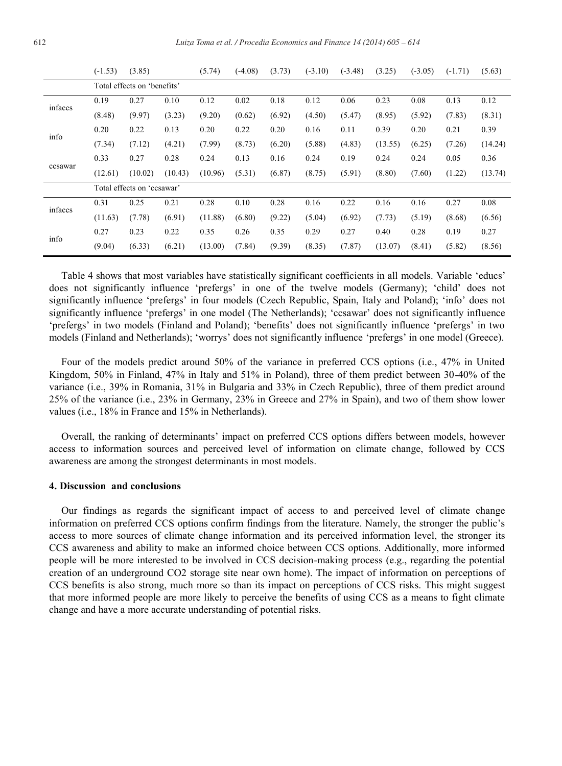|         | $(-1.53)$ | (3.85)                      |         | (5.74)  | $(-4.08)$ | (3.73) | $(-3.10)$ | $(-3.48)$ | (3.25)  | $(-3.05)$ | $(-1.71)$ | (5.63)  |
|---------|-----------|-----------------------------|---------|---------|-----------|--------|-----------|-----------|---------|-----------|-----------|---------|
|         |           | Total effects on 'benefits' |         |         |           |        |           |           |         |           |           |         |
| infaccs | 0.19      | 0.27                        | 0.10    | 0.12    | 0.02      | 0.18   | 0.12      | 0.06      | 0.23    | 0.08      | 0.13      | 0.12    |
|         | (8.48)    | (9.97)                      | (3.23)  | (9.20)  | (0.62)    | (6.92) | (4.50)    | (5.47)    | (8.95)  | (5.92)    | (7.83)    | (8.31)  |
| info    | 0.20      | 0.22                        | 0.13    | 0.20    | 0.22      | 0.20   | 0.16      | 0.11      | 0.39    | 0.20      | 0.21      | 0.39    |
|         | (7.34)    | (7.12)                      | (4.21)  | (7.99)  | (8.73)    | (6.20) | (5.88)    | (4.83)    | (13.55) | (6.25)    | (7.26)    | (14.24) |
|         | 0.33      | 0.27                        | 0.28    | 0.24    | 0.13      | 0.16   | 0.24      | 0.19      | 0.24    | 0.24      | 0.05      | 0.36    |
| ccsawar | (12.61)   | (10.02)                     | (10.43) | (10.96) | (5.31)    | (6.87) | (8.75)    | (5.91)    | (8.80)  | (7.60)    | (1.22)    | (13.74) |
|         |           | Total effects on 'ccsawar'  |         |         |           |        |           |           |         |           |           |         |
| infaccs | 0.31      | 0.25                        | 0.21    | 0.28    | 0.10      | 0.28   | 0.16      | 0.22      | 0.16    | 0.16      | 0.27      | 0.08    |
|         | (11.63)   | (7.78)                      | (6.91)  | (11.88) | (6.80)    | (9.22) | (5.04)    | (6.92)    | (7.73)  | (5.19)    | (8.68)    | (6.56)  |
|         | 0.27      | 0.23                        | 0.22    | 0.35    | 0.26      | 0.35   | 0.29      | 0.27      | 0.40    | 0.28      | 0.19      | 0.27    |
| info    | (9.04)    | (6.33)                      | (6.21)  | (13.00) | (7.84)    | (9.39) | (8.35)    | (7.87)    | (13.07) | (8.41)    | (5.82)    | (8.56)  |

Table 4 shows that most variables have statistically significant coefficients in all models. Variable 'educs' does not significantly influence 'prefergs' in one of the twelve models (Germany); 'child' does not significantly influence 'prefergs' in four models (Czech Republic, Spain, Italy and Poland); 'info' does not significantly influence 'prefergs' in one model (The Netherlands); 'ccsawar' does not significantly influence 'prefergs' in two models (Finland and Poland); 'benefits' does not significantly influence 'prefergs' in two models (Finland and Netherlands); 'worrys' does not significantly influence 'prefergs' in one model (Greece).

Four of the models predict around 50% of the variance in preferred CCS options (i.e., 47% in United Kingdom, 50% in Finland, 47% in Italy and 51% in Poland), three of them predict between 30-40% of the variance (i.e., 39% in Romania, 31% in Bulgaria and 33% in Czech Republic), three of them predict around 25% of the variance (i.e., 23% in Germany, 23% in Greece and 27% in Spain), and two of them show lower values (i.e., 18% in France and 15% in Netherlands).

Overall, the ranking of determinants' impact on preferred CCS options differs between models, however access to information sources and perceived level of information on climate change, followed by CCS awareness are among the strongest determinants in most models.

#### **4. Discussion and conclusions**

Our findings as regards the significant impact of access to and perceived level of climate change information on preferred CCS options confirm findings from the literature. Namely, the stronger the public's access to more sources of climate change information and its perceived information level, the stronger its CCS awareness and ability to make an informed choice between CCS options. Additionally, more informed people will be more interested to be involved in CCS decision-making process (e.g., regarding the potential creation of an underground CO2 storage site near own home). The impact of information on perceptions of CCS benefits is also strong, much more so than its impact on perceptions of CCS risks. This might suggest that more informed people are more likely to perceive the benefits of using CCS as a means to fight climate change and have a more accurate understanding of potential risks.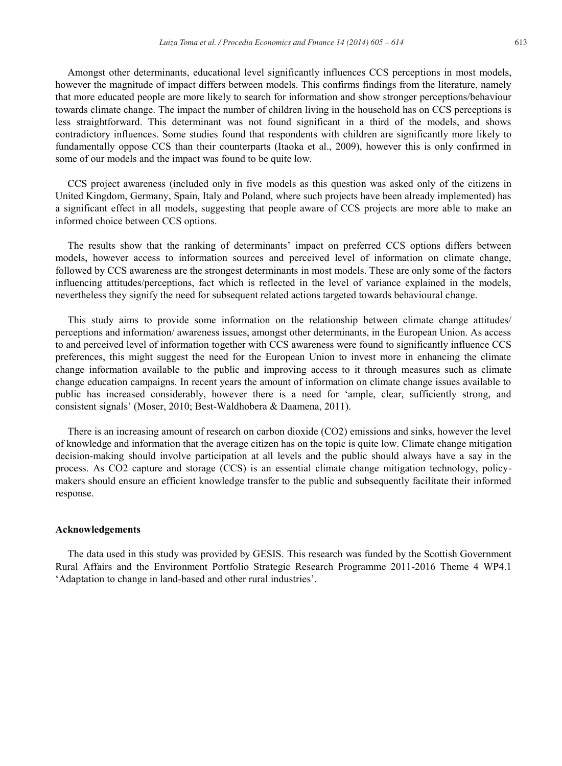Amongst other determinants, educational level significantly influences CCS perceptions in most models, however the magnitude of impact differs between models. This confirms findings from the literature, namely that more educated people are more likely to search for information and show stronger perceptions/behaviour towards climate change. The impact the number of children living in the household has on CCS perceptions is less straightforward. This determinant was not found significant in a third of the models, and shows contradictory influences. Some studies found that respondents with children are significantly more likely to fundamentally oppose CCS than their counterparts (Itaoka et al., 2009), however this is only confirmed in some of our models and the impact was found to be quite low.

CCS project awareness (included only in five models as this question was asked only of the citizens in United Kingdom, Germany, Spain, Italy and Poland, where such projects have been already implemented) has a significant effect in all models, suggesting that people aware of CCS projects are more able to make an informed choice between CCS options.

The results show that the ranking of determinants' impact on preferred CCS options differs between models, however access to information sources and perceived level of information on climate change, followed by CCS awareness are the strongest determinants in most models. These are only some of the factors influencing attitudes/perceptions, fact which is reflected in the level of variance explained in the models, nevertheless they signify the need for subsequent related actions targeted towards behavioural change.

This study aims to provide some information on the relationship between climate change attitudes/ perceptions and information/ awareness issues, amongst other determinants, in the European Union. As access to and perceived level of information together with CCS awareness were found to significantly influence CCS preferences, this might suggest the need for the European Union to invest more in enhancing the climate change information available to the public and improving access to it through measures such as climate change education campaigns. In recent years the amount of information on climate change issues available to public has increased considerably, however there is a need for 'ample, clear, sufficiently strong, and consistent signals' (Moser, 2010; Best-Waldhobera & Daamena, 2011).

There is an increasing amount of research on carbon dioxide (CO2) emissions and sinks, however the level of knowledge and information that the average citizen has on the topic is quite low. Climate change mitigation decision-making should involve participation at all levels and the public should always have a say in the process. As CO2 capture and storage (CCS) is an essential climate change mitigation technology, policymakers should ensure an efficient knowledge transfer to the public and subsequently facilitate their informed response.

#### **Acknowledgements**

The data used in this study was provided by GESIS. This research was funded by the Scottish Government Rural Affairs and the Environment Portfolio Strategic Research Programme 2011-2016 Theme 4 WP4.1 'Adaptation to change in land-based and other rural industries'.